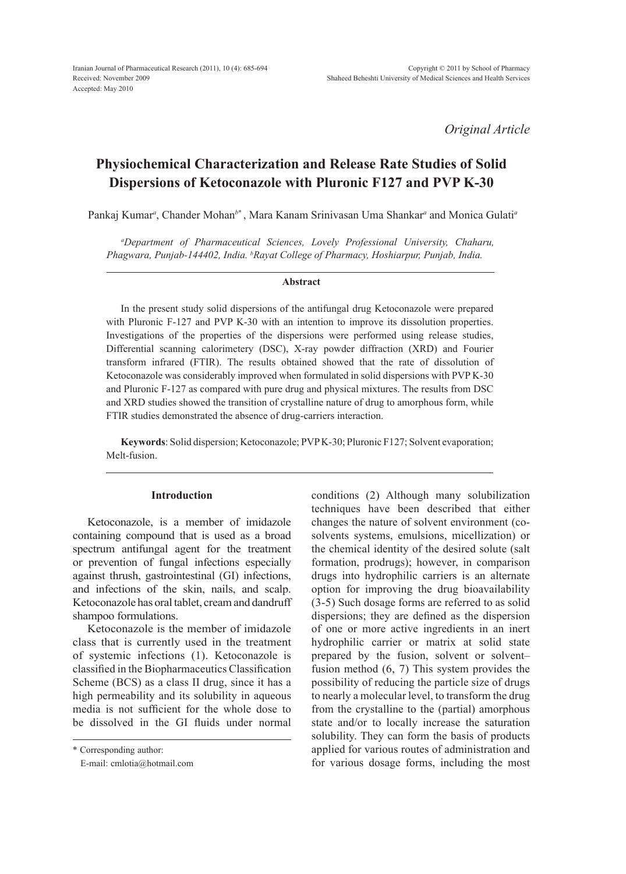*Original Article*

# **Physiochemical Characterization and Release Rate Studies of Solid Dispersions of Ketoconazole with Pluronic F127 and PVP K-30**

Pankaj Kumar*<sup>a</sup>* , Chander Mohan*<sup>b</sup>*\* , Mara Kanam Srinivasan Uma Shankar*<sup>a</sup>* and Monica Gulati*<sup>a</sup>*

*a Department of Pharmaceutical Sciences, Lovely Professional University, Chaharu, Phagwara, Punjab-144402, India. b Rayat College of Pharmacy, Hoshiarpur, Punjab, India.*

#### **Abstract**

In the present study solid dispersions of the antifungal drug Ketoconazole were prepared with Pluronic F-127 and PVP K-30 with an intention to improve its dissolution properties. Investigations of the properties of the dispersions were performed using release studies, Differential scanning calorimetery (DSC), X-ray powder diffraction (XRD) and Fourier transform infrared (FTIR). The results obtained showed that the rate of dissolution of Ketoconazole was considerably improved when formulated in solid dispersions with PVP K-30 and Pluronic F-127 as compared with pure drug and physical mixtures. The results from DSC and XRD studies showed the transition of crystalline nature of drug to amorphous form, while FTIR studies demonstrated the absence of drug-carriers interaction.

**Keywords**: Solid dispersion; Ketoconazole; PVP K-30; Pluronic F127; Solvent evaporation; Melt-fusion.

## **Introduction**

Ketoconazole, is a member of imidazole containing compound that is used as a broad spectrum antifungal agent for the treatment or prevention of fungal infections especially against thrush, gastrointestinal (GI) infections, and infections of the skin, nails, and scalp. Ketoconazole has oral tablet, cream and dandruff shampoo formulations.

Ketoconazole is the member of imidazole class that is currently used in the treatment of systemic infections (1). Ketoconazole is classified in the Biopharmaceutics Classification Scheme (BCS) as a class II drug, since it has a high permeability and its solubility in aqueous media is not sufficient for the whole dose to be dissolved in the GI fluids under normal conditions (2) Although many solubilization techniques have been described that either changes the nature of solvent environment (cosolvents systems, emulsions, micellization) or the chemical identity of the desired solute (salt formation, prodrugs); however, in comparison drugs into hydrophilic carriers is an alternate option for improving the drug bioavailability (3-5) Such dosage forms are referred to as solid dispersions; they are defined as the dispersion of one or more active ingredients in an inert hydrophilic carrier or matrix at solid state prepared by the fusion, solvent or solventfusion method (6, 7) This system provides the possibility of reducing the particle size of drugs to nearly a molecular level, to transform the drug from the crystalline to the (partial) amorphous state and/or to locally increase the saturation solubility. They can form the basis of products applied for various routes of administration and for various dosage forms, including the most

<sup>\*</sup> Corresponding author:

E-mail: cmlotia@hotmail.com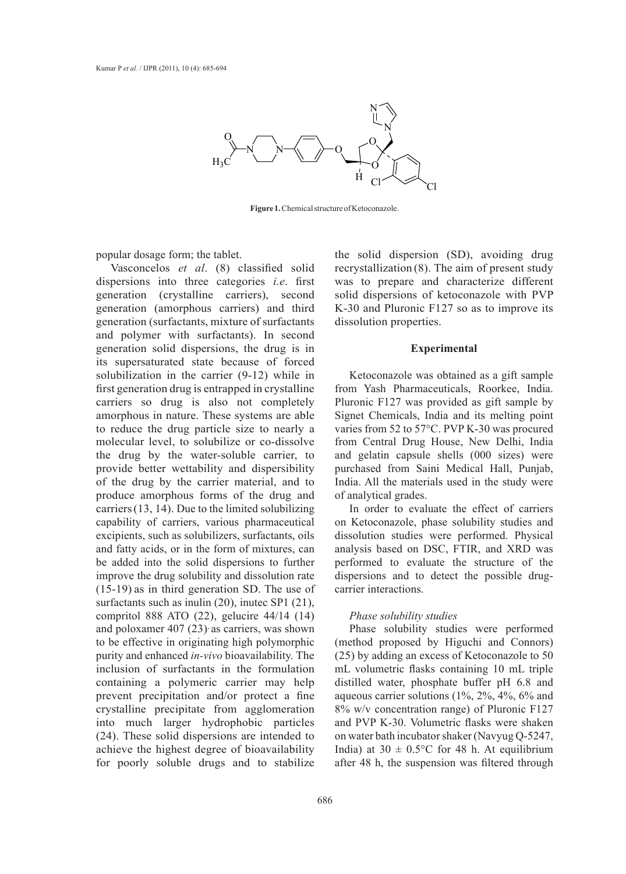

**Figure 1.** Chemical structure of Ketoconazole.

popular dosage form; the tablet.

Vasconcelos *et al*. (8) classified solid dispersions into three categories *i.e*. first generation (crystalline carriers), second generation (amorphous carriers) and third generation (surfactants, mixture of surfactants and polymer with surfactants). In second generation solid dispersions, the drug is in its supersaturated state because of forced solubilization in the carrier (9-12) while in first generation drug is entrapped in crystalline carriers so drug is also not completely amorphous in nature. These systems are able to reduce the drug particle size to nearly a molecular level, to solubilize or co-dissolve the drug by the water-soluble carrier, to provide better wettability and dispersibility of the drug by the carrier material, and to produce amorphous forms of the drug and carriers(13, 14). Due to the limited solubilizing capability of carriers, various pharmaceutical excipients, such as solubilizers, surfactants, oils and fatty acids, or in the form of mixtures, can be added into the solid dispersions to further improve the drug solubility and dissolution rate (15-19) as in third generation SD. The use of surfactants such as inulin (20), inutec SP1 (21), compritol 888 ATO (22), gelucire 44/14 (14) and poloxamer  $407 (23)$  as carriers, was shown to be effective in originating high polymorphic purity and enhanced *in-vivo* bioavailability. The inclusion of surfactants in the formulation containing a polymeric carrier may help prevent precipitation and/or protect a fine crystalline precipitate from agglomeration into much larger hydrophobic particles (24). These solid dispersions are intended to achieve the highest degree of bioavailability for poorly soluble drugs and to stabilize

the solid dispersion (SD), avoiding drug recrystallization (8). The aim of present study was to prepare and characterize different solid dispersions of ketoconazole with PVP K-30 and Pluronic F127 so as to improve its dissolution properties.

#### **Experimental**

Ketoconazole was obtained as a gift sample from Yash Pharmaceuticals, Roorkee, India. Pluronic F127 was provided as gift sample by Signet Chemicals, India and its melting point varies from 52 to 57°C. PVP K-30 was procured from Central Drug House, New Delhi, India and gelatin capsule shells (000 sizes) were purchased from Saini Medical Hall, Punjab, India. All the materials used in the study were of analytical grades.

In order to evaluate the effect of carriers on Ketoconazole, phase solubility studies and dissolution studies were performed. Physical analysis based on DSC, FTIR, and XRD was performed to evaluate the structure of the dispersions and to detect the possible drugcarrier interactions.

# *Phase solubility studies*

Phase solubility studies were performed (method proposed by Higuchi and Connors) (25) by adding an excess of Ketoconazole to 50 mL volumetric flasks containing 10 mL triple distilled water, phosphate buffer pH 6.8 and aqueous carrier solutions (1%, 2%, 4%, 6% and 8% w/v concentration range) of Pluronic F127 and PVP K-30. Volumetric flasks were shaken on water bath incubator shaker (Navyug Q-5247, India) at  $30 \pm 0.5^{\circ}$ C for 48 h. At equilibrium after 48 h, the suspension was filtered through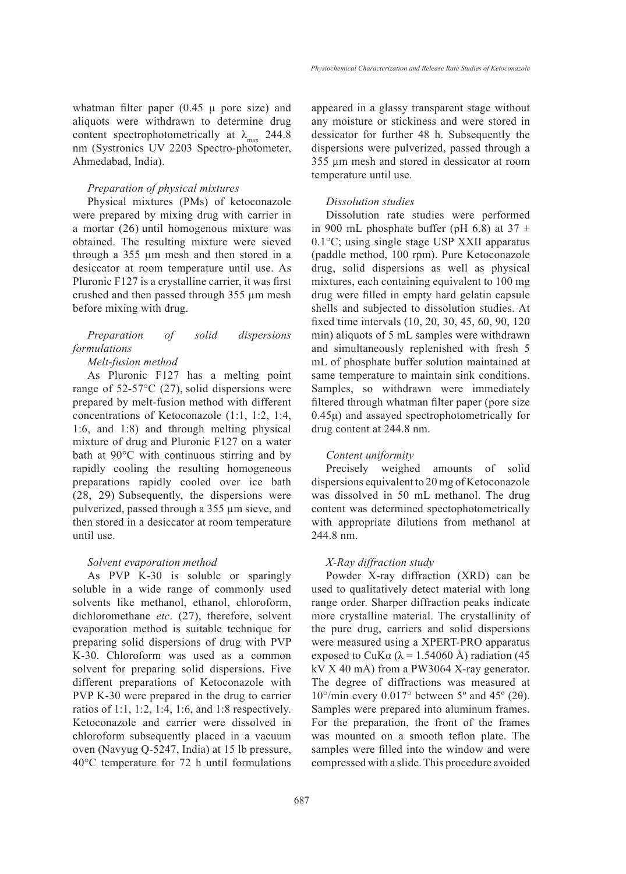whatman filter paper  $(0.45 \mu$  pore size) and aliquots were withdrawn to determine drug content spectrophotometrically at  $\lambda_{\text{max}}$  244.8 nm (Systronics UV 2203 Spectro-photometer, Ahmedabad, India).

#### *Preparation of physical mixtures*

Physical mixtures (PMs) of ketoconazole were prepared by mixing drug with carrier in a mortar (26) until homogenous mixture was obtained. The resulting mixture were sieved through a 355 µm mesh and then stored in a desiccator at room temperature until use. As Pluronic F127 is a crystalline carrier, it was first crushed and then passed through 355 µm mesh before mixing with drug.

# *Preparation of solid dispersions formulations*

## *Melt-fusion method*

As Pluronic F127 has a melting point range of 52-57°C (27), solid dispersions were prepared by melt-fusion method with different concentrations of Ketoconazole (1:1, 1:2, 1:4, 1:6, and 1:8) and through melting physical mixture of drug and Pluronic F127 on a water bath at 90°C with continuous stirring and by rapidly cooling the resulting homogeneous preparations rapidly cooled over ice bath (28, 29) Subsequently, the dispersions were pulverized, passed through a 355 µm sieve, and then stored in a desiccator at room temperature until use.

## *Solvent evaporation method*

As PVP K-30 is soluble or sparingly soluble in a wide range of commonly used solvents like methanol, ethanol, chloroform, dichloromethane *etc*. (27), therefore, solvent evaporation method is suitable technique for preparing solid dispersions of drug with PVP K-30. Chloroform was used as a common solvent for preparing solid dispersions. Five different preparations of Ketoconazole with PVP K-30 were prepared in the drug to carrier ratios of 1:1, 1:2, 1:4, 1:6, and 1:8 respectively. Ketoconazole and carrier were dissolved in chloroform subsequently placed in a vacuum oven (Navyug Q-5247, India) at 15 lb pressure, 40°C temperature for 72 h until formulations appeared in a glassy transparent stage without any moisture or stickiness and were stored in dessicator for further 48 h. Subsequently the dispersions were pulverized, passed through a 355 µm mesh and stored in dessicator at room temperature until use.

## *Dissolution studies*

Dissolution rate studies were performed in 900 mL phosphate buffer (pH 6.8) at  $37 \pm$ 0.1°C; using single stage USP XXII apparatus (paddle method, 100 rpm). Pure Ketoconazole drug, solid dispersions as well as physical mixtures, each containing equivalent to 100 mg drug were filled in empty hard gelatin capsule shells and subjected to dissolution studies. At fixed time intervals (10, 20, 30, 45, 60, 90, 120 min) aliquots of 5 mL samples were withdrawn and simultaneously replenished with fresh 5 mL of phosphate buffer solution maintained at same temperature to maintain sink conditions. Samples, so withdrawn were immediately filtered through whatman filter paper (pore size 0.45μ) and assayed spectrophotometrically for drug content at 244.8 nm.

#### *Content uniformity*

Precisely weighed amounts of solid dispersions equivalent to 20 mg of Ketoconazole was dissolved in 50 mL methanol. The drug content was determined spectophotometrically with appropriate dilutions from methanol at 244.8 nm.

#### *X-Ray diffraction study*

Powder X-ray diffraction (XRD) can be used to qualitatively detect material with long range order. Sharper diffraction peaks indicate more crystalline material. The crystallinity of the pure drug, carriers and solid dispersions were measured using a XPERT-PRO apparatus exposed to CuK $\alpha$  ( $\lambda$  = 1.54060 Å) radiation (45 kV X 40 mA) from a PW3064 X-ray generator. The degree of diffractions was measured at  $10^{\circ}/\text{min}$  every  $0.017^{\circ}$  between 5° and 45° (2 $\theta$ ). Samples were prepared into aluminum frames. For the preparation, the front of the frames was mounted on a smooth teflon plate. The samples were filled into the window and were compressed with a slide. This procedure avoided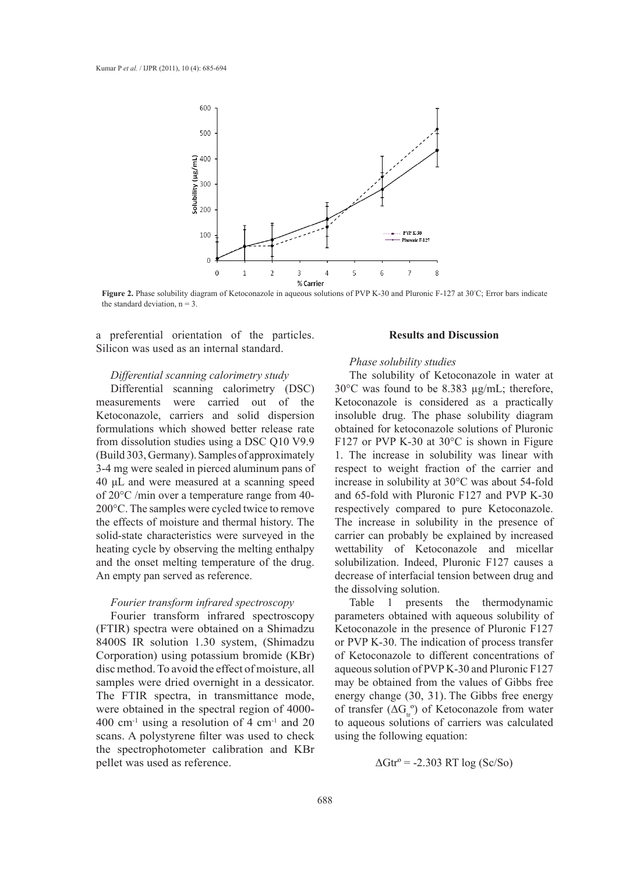

**Figure 2.** Phase solubility diagram of Ketoconazole in aqueous solutions of PVP K-30 and Pluronic F-127 at 30°C; Error bars indicate the standard deviation,  $n = 3$ .

a preferential orientation of the particles. Silicon was used as an internal standard.

#### *Differential scanning calorimetry study*

Differential scanning calorimetry (DSC) measurements were carried out of the Ketoconazole, carriers and solid dispersion formulations which showed better release rate from dissolution studies using a DSC Q10 V9.9 (Build 303, Germany). Samples of approximately 3-4 mg were sealed in pierced aluminum pans of 40 μL and were measured at a scanning speed of 20°C /min over a temperature range from 40- 200°C. The samples were cycled twice to remove the effects of moisture and thermal history. The solid-state characteristics were surveyed in the heating cycle by observing the melting enthalpy and the onset melting temperature of the drug. An empty pan served as reference.

## *Fourier transform infrared spectroscopy*

Fourier transform infrared spectroscopy (FTIR) spectra were obtained on a Shimadzu 8400S IR solution 1.30 system, (Shimadzu Corporation) using potassium bromide (KBr) disc method. To avoid the effect of moisture, all samples were dried overnight in a dessicator. The FTIR spectra, in transmittance mode, were obtained in the spectral region of 4000-  $400 \text{ cm}^{-1}$  using a resolution of 4 cm<sup>-1</sup> and 20 scans. A polystyrene filter was used to check the spectrophotometer calibration and KBr pellet was used as reference.

## **Results and Discussion**

## *Phase solubility studies*

The solubility of Ketoconazole in water at 30°C was found to be 8.383 µg/mL; therefore, Ketoconazole is considered as a practically insoluble drug. The phase solubility diagram obtained for ketoconazole solutions of Pluronic F127 or PVP K-30 at 30°C is shown in Figure 1. The increase in solubility was linear with respect to weight fraction of the carrier and increase in solubility at 30°C was about 54-fold and 65-fold with Pluronic F127 and PVP K-30 respectively compared to pure Ketoconazole. The increase in solubility in the presence of carrier can probably be explained by increased wettability of Ketoconazole and micellar solubilization. Indeed, Pluronic F127 causes a decrease of interfacial tension between drug and the dissolving solution.

Table 1 presents the thermodynamic parameters obtained with aqueous solubility of Ketoconazole in the presence of Pluronic F127 or PVP K-30. The indication of process transfer of Ketoconazole to different concentrations of aqueous solution of PVP K-30 and Pluronic F127 may be obtained from the values of Gibbs free energy change (30, 31). The Gibbs free energy of transfer  $(\Delta G_r^{\circ})$  of Ketoconazole from water to aqueous solutions of carriers was calculated using the following equation:

 $\Delta \text{Gtr}^{\circ} = -2.303 \text{ RT log (Sc/So)}$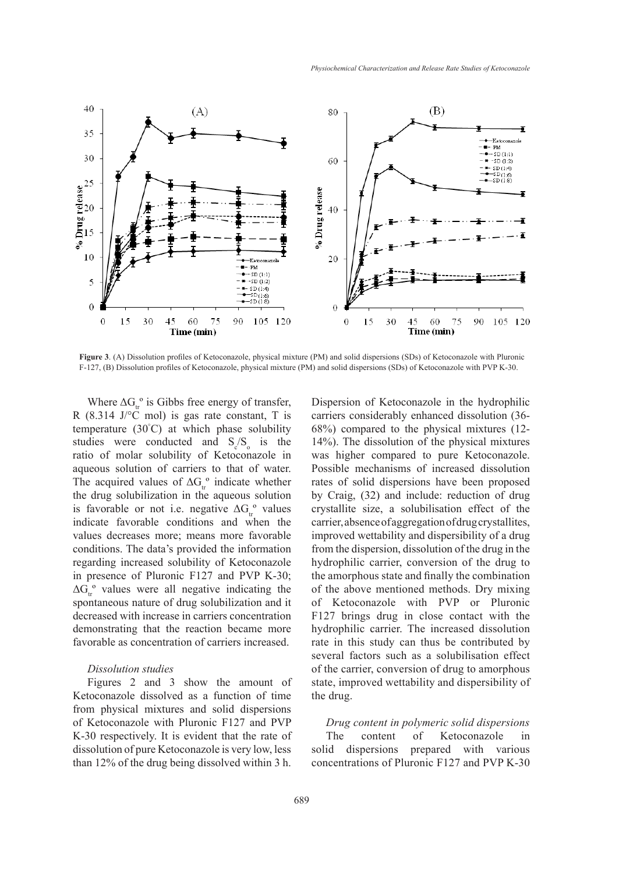

**Figure 3**. (A) Dissolution profiles of Ketoconazole, physical mixture (PM) and solid dispersions (SDs) of Ketoconazole with Pluronic F-127, (B) Dissolution profiles of Ketoconazole, physical mixture (PM) and solid dispersions (SDs) of Ketoconazole with PVP K-30.

Where  $\Delta G_{tr}^{\circ}$  is Gibbs free energy of transfer, R (8.314 J/ $^{\circ}$ C mol) is gas rate constant, T is temperature (30° C) at which phase solubility studies were conducted and  $S_c/S_o$  is the ratio of molar solubility of Ketoconazole in aqueous solution of carriers to that of water. The acquired values of  $\Delta G_{tr}^{\circ}$  indicate whether the drug solubilization in the aqueous solution is favorable or not i.e. negative  $\Delta G_{\text{r}}^{\text{o}}$  values indicate favorable conditions and when the values decreases more; means more favorable conditions. The data's provided the information regarding increased solubility of Ketoconazole in presence of Pluronic F127 and PVP K-30;  $\Delta G_{\text{tr}}^{\circ}$  values were all negative indicating the spontaneous nature of drug solubilization and it decreased with increase in carriers concentration demonstrating that the reaction became more favorable as concentration of carriers increased.

#### *Dissolution studies*

Figures 2 and 3 show the amount of Ketoconazole dissolved as a function of time from physical mixtures and solid dispersions of Ketoconazole with Pluronic F127 and PVP K-30 respectively. It is evident that the rate of dissolution of pure Ketoconazole is very low, less than 12% of the drug being dissolved within 3 h.

Dispersion of Ketoconazole in the hydrophilic carriers considerably enhanced dissolution (36- 68%) compared to the physical mixtures (12- 14%). The dissolution of the physical mixtures was higher compared to pure Ketoconazole. Possible mechanisms of increased dissolution rates of solid dispersions have been proposed by Craig, (32) and include: reduction of drug crystallite size, a solubilisation effect of the carrier, absence of aggregation of drug crystallites, improved wettability and dispersibility of a drug from the dispersion, dissolution of the drug in the hydrophilic carrier, conversion of the drug to the amorphous state and finally the combination of the above mentioned methods. Dry mixing of Ketoconazole with PVP or Pluronic F127 brings drug in close contact with the hydrophilic carrier. The increased dissolution rate in this study can thus be contributed by several factors such as a solubilisation effect of the carrier, conversion of drug to amorphous state, improved wettability and dispersibility of the drug.

*Drug content in polymeric solid dispersions* The content of Ketoconazole in solid dispersions prepared with various concentrations of Pluronic F127 and PVP K-30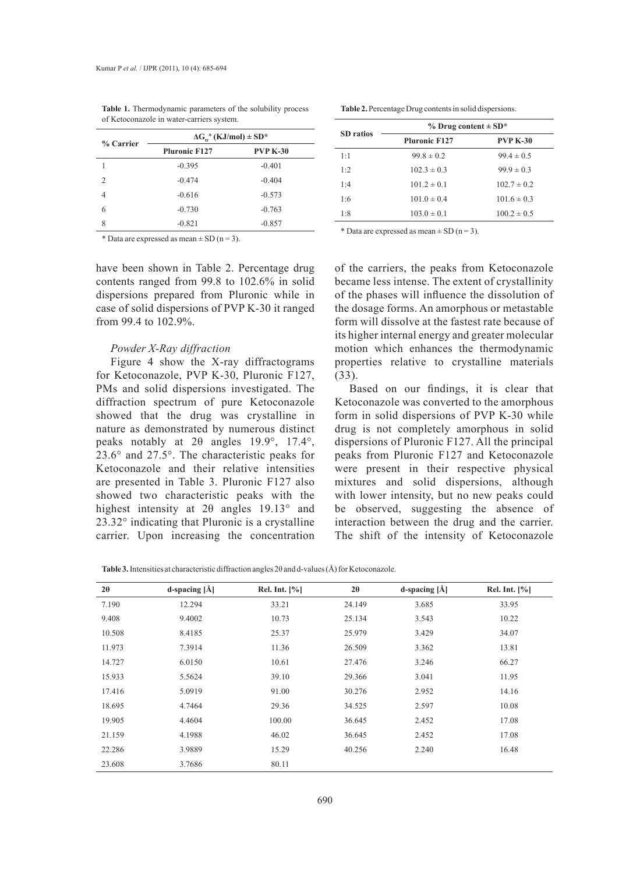| % Carrier      | $\Delta G$ <sub>tr</sub> <sup>o</sup> (KJ/mol) ± SD <sup>*</sup> |                 |  |
|----------------|------------------------------------------------------------------|-----------------|--|
|                | <b>Pluronic F127</b>                                             | <b>PVP K-30</b> |  |
|                | $-0.395$                                                         | $-0.401$        |  |
| $\mathfrak{D}$ | $-0.474$                                                         | $-0.404$        |  |
| 4              | $-0.616$                                                         | $-0.573$        |  |
| 6              | $-0.730$                                                         | $-0.763$        |  |
| 8              | $-0.821$                                                         | $-0.857$        |  |

**Table 1.** Thermodynamic parameters of the solubility process of Ketoconazole in water-carriers system.

\* Data are expressed as mean  $\pm$  SD (n = 3).

have been shown in Table 2. Percentage drug contents ranged from 99.8 to 102.6% in solid dispersions prepared from Pluronic while in case of solid dispersions of PVP K-30 it ranged from 99.4 to 102.9%.

#### *Powder X-Ray diffraction*

Figure 4 show the X-ray diffractograms for Ketoconazole, PVP K-30, Pluronic F127, PMs and solid dispersions investigated. The diffraction spectrum of pure Ketoconazole showed that the drug was crystalline in nature as demonstrated by numerous distinct peaks notably at 2θ angles 19.9°, 17.4°, 23.6° and 27.5°. The characteristic peaks for Ketoconazole and their relative intensities are presented in Table 3. Pluronic F127 also showed two characteristic peaks with the highest intensity at 2θ angles 19.13° and 23.32° indicating that Pluronic is a crystalline carrier. Upon increasing the concentration

| Table 2. Percentage Drug contents in solid dispersions. |  |  |  |
|---------------------------------------------------------|--|--|--|
|---------------------------------------------------------|--|--|--|

| <b>SD</b> ratios | $%$ Drug content $\pm$ SD <sup>*</sup> |                 |  |
|------------------|----------------------------------------|-----------------|--|
|                  | <b>Pluronic F127</b>                   | <b>PVP K-30</b> |  |
| 1:1              | $99.8 \pm 0.2$                         | $99.4 \pm 0.5$  |  |
| 1:2              | $102.3 \pm 0.3$                        | $99.9 \pm 0.3$  |  |
| 1:4              | $101.2 \pm 0.1$                        | $102.7 \pm 0.2$ |  |
| 1:6              | $101.0 \pm 0.4$                        | $101.6 \pm 0.3$ |  |
| 1:8              | $103.0 \pm 0.1$                        | $100.2 \pm 0.5$ |  |

\* Data are expressed as mean  $\pm$  SD (n = 3).

of the carriers, the peaks from Ketoconazole became less intense. The extent of crystallinity of the phases will influence the dissolution of the dosage forms. An amorphous or metastable form will dissolve at the fastest rate because of its higher internal energy and greater molecular motion which enhances the thermodynamic properties relative to crystalline materials (33).

Based on our findings, it is clear that Ketoconazole was converted to the amorphous form in solid dispersions of PVP K-30 while drug is not completely amorphous in solid dispersions of Pluronic F127. All the principal peaks from Pluronic F127 and Ketoconazole were present in their respective physical mixtures and solid dispersions, although with lower intensity, but no new peaks could be observed, suggesting the absence of interaction between the drug and the carrier. The shift of the intensity of Ketoconazole

**Table 3.** Intensities at characteristic diffraction angles 2θ and d-values (Å) for Ketoconazole.

| $2\theta$ | d-spacing $ \AA $ | Rel. Int. $[\%]$ | $2\theta$ | d-spacing $\hat{[A]}$ | Rel. Int. $[%]$ |
|-----------|-------------------|------------------|-----------|-----------------------|-----------------|
| 7.190     | 12.294            | 33.21            | 24.149    | 3.685                 | 33.95           |
| 9.408     | 9.4002            | 10.73            | 25.134    | 3.543                 | 10.22           |
| 10.508    | 8.4185            | 25.37            | 25.979    | 3.429                 | 34.07           |
| 11.973    | 7.3914            | 11.36            | 26.509    | 3.362                 | 13.81           |
| 14.727    | 6.0150            | 10.61            | 27.476    | 3.246                 | 66.27           |
| 15.933    | 5.5624            | 39.10            | 29.366    | 3.041                 | 11.95           |
| 17.416    | 5.0919            | 91.00            | 30.276    | 2.952                 | 14.16           |
| 18.695    | 4.7464            | 29.36            | 34.525    | 2.597                 | 10.08           |
| 19.905    | 4.4604            | 100.00           | 36.645    | 2.452                 | 17.08           |
| 21.159    | 4.1988            | 46.02            | 36.645    | 2.452                 | 17.08           |
| 22.286    | 3.9889            | 15.29            | 40.256    | 2.240                 | 16.48           |
| 23.608    | 3.7686            | 80.11            |           |                       |                 |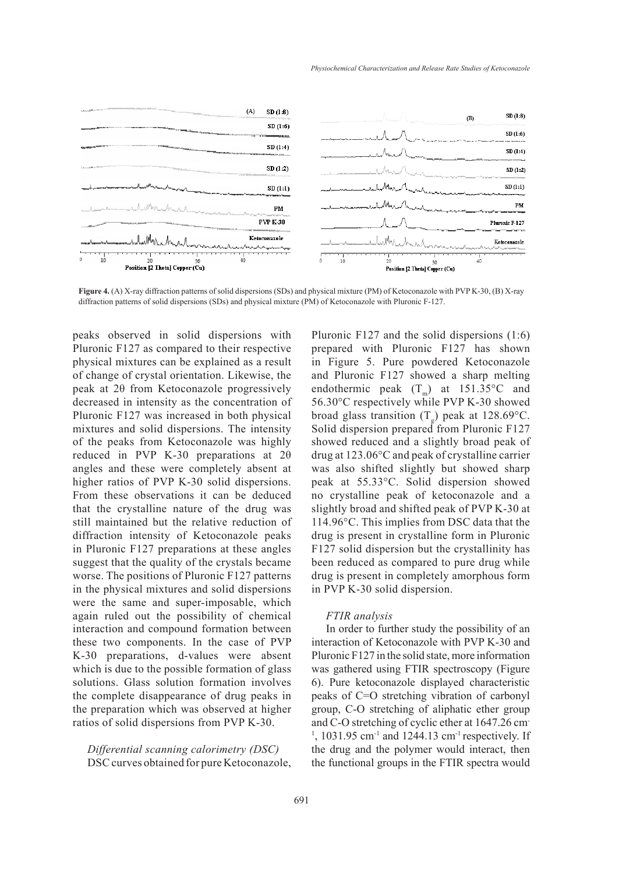

**Figure 4.** (A) X-ray diffraction patterns of solid dispersions (SDs) and physical mixture (PM) of Ketoconazole with PVP K-30, (B) X-ray diffraction patterns of solid dispersions (SDs) and physical mixture (PM) of Ketoconazole with Pluronic F-127.

peaks observed in solid dispersions with Pluronic F127 as compared to their respective physical mixtures can be explained as a result of change of crystal orientation. Likewise, the peak at 2θ from Ketoconazole progressively decreased in intensity as the concentration of Pluronic F127 was increased in both physical mixtures and solid dispersions. The intensity of the peaks from Ketoconazole was highly reduced in PVP K-30 preparations at 2θ angles and these were completely absent at higher ratios of PVP K-30 solid dispersions. From these observations it can be deduced that the crystalline nature of the drug was still maintained but the relative reduction of diffraction intensity of Ketoconazole peaks in Pluronic F127 preparations at these angles suggest that the quality of the crystals became worse. The positions of Pluronic F127 patterns in the physical mixtures and solid dispersions were the same and super-imposable, which again ruled out the possibility of chemical interaction and compound formation between these two components. In the case of PVP K-30 preparations, d-values were absent which is due to the possible formation of glass solutions. Glass solution formation involves the complete disappearance of drug peaks in the preparation which was observed at higher ratios of solid dispersions from PVP K-30.

*Differential scanning calorimetry (DSC)* DSC curves obtained for pure Ketoconazole, Pluronic F127 and the solid dispersions (1:6) prepared with Pluronic F127 has shown in Figure 5. Pure powdered Ketoconazole and Pluronic F127 showed a sharp melting endothermic peak  $(T_m)$  at 151.35°C and 56.30°C respectively while PVP K-30 showed broad glass transition  $(T_g)$  peak at 128.69°C. Solid dispersion prepared from Pluronic F127 showed reduced and a slightly broad peak of drug at 123.06°C and peak of crystalline carrier was also shifted slightly but showed sharp peak at 55.33°C. Solid dispersion showed no crystalline peak of ketoconazole and a slightly broad and shifted peak of PVP K-30 at 114.96°C. This implies from DSC data that the drug is present in crystalline form in Pluronic F127 solid dispersion but the crystallinity has been reduced as compared to pure drug while drug is present in completely amorphous form in PVP K-30 solid dispersion.

#### *FTIR analysis*

In order to further study the possibility of an interaction of Ketoconazole with PVP K-30 and Pluronic F127 in the solid state, more information was gathered using FTIR spectroscopy (Figure 6). Pure ketoconazole displayed characteristic peaks of C=O stretching vibration of carbonyl group, C-O stretching of aliphatic ether group and C-O stretching of cyclic ether at 1647.26 cm- $1, 1031.95$  cm<sup>-1</sup> and 1244.13 cm<sup>-1</sup> respectively. If the drug and the polymer would interact, then the functional groups in the FTIR spectra would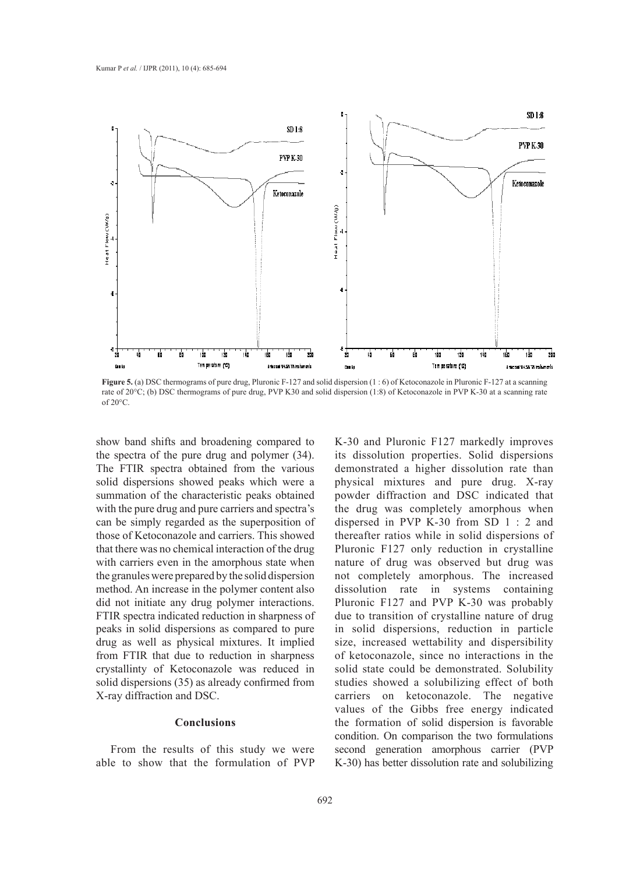

**Figure 5.** (a) DSC thermograms of pure drug, Pluronic F-127 and solid dispersion (1:6) of Ketoconazole in Pluronic F-127 at a scanning rate of 20°C; (b) DSC thermograms of pure drug, PVP K30 and solid dispersion (1:8) of Ketoconazole in PVP K-30 at a scanning rate of 20°C.

show band shifts and broadening compared to the spectra of the pure drug and polymer (34). The FTIR spectra obtained from the various solid dispersions showed peaks which were a summation of the characteristic peaks obtained with the pure drug and pure carriers and spectra's can be simply regarded as the superposition of those of Ketoconazole and carriers. This showed that there was no chemical interaction of the drug with carriers even in the amorphous state when the granules were prepared by the solid dispersion method. An increase in the polymer content also did not initiate any drug polymer interactions. FTIR spectra indicated reduction in sharpness of peaks in solid dispersions as compared to pure drug as well as physical mixtures. It implied from FTIR that due to reduction in sharpness crystallinty of Ketoconazole was reduced in solid dispersions (35) as already confirmed from X-ray diffraction and DSC.

#### **Conclusions**

From the results of this study we were able to show that the formulation of PVP K-30 and Pluronic F127 markedly improves its dissolution properties. Solid dispersions demonstrated a higher dissolution rate than physical mixtures and pure drug. X-ray powder diffraction and DSC indicated that the drug was completely amorphous when dispersed in PVP K-30 from SD 1 : 2 and thereafter ratios while in solid dispersions of Pluronic F127 only reduction in crystalline nature of drug was observed but drug was not completely amorphous. The increased dissolution rate in systems containing Pluronic F127 and PVP K-30 was probably due to transition of crystalline nature of drug in solid dispersions, reduction in particle size, increased wettability and dispersibility of ketoconazole, since no interactions in the solid state could be demonstrated. Solubility studies showed a solubilizing effect of both carriers on ketoconazole. The negative values of the Gibbs free energy indicated the formation of solid dispersion is favorable condition. On comparison the two formulations second generation amorphous carrier (PVP K-30) has better dissolution rate and solubilizing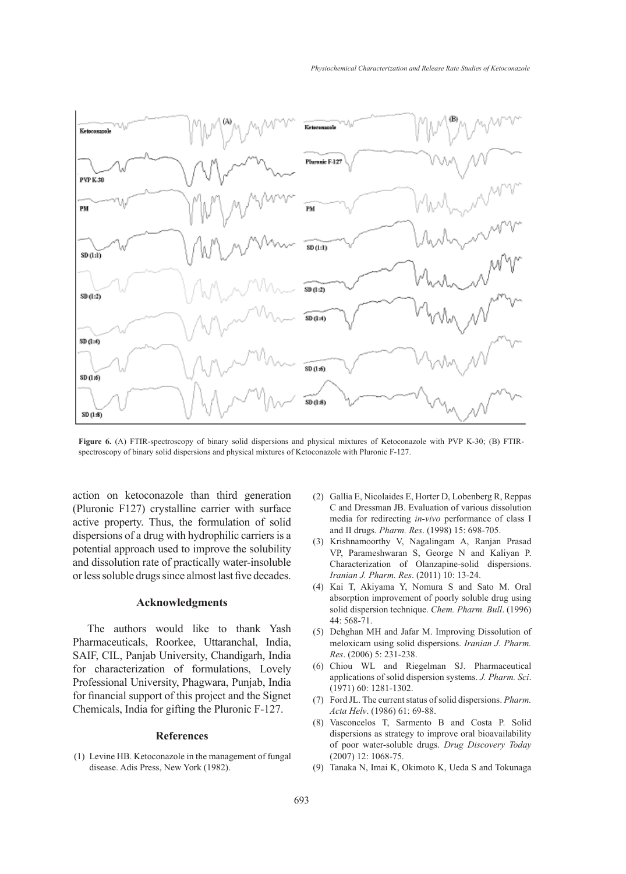

**Figure 6.** (A) FTIR-spectroscopy of binary solid dispersions and physical mixtures of Ketoconazole with PVP K-30; (B) FTIRspectroscopy of binary solid dispersions and physical mixtures of Ketoconazole with Pluronic F-127.

action on ketoconazole than third generation (Pluronic F127) crystalline carrier with surface active property. Thus, the formulation of solid dispersions of a drug with hydrophilic carriers is a potential approach used to improve the solubility and dissolution rate of practically water-insoluble or less soluble drugs since almost last five decades.

#### **Acknowledgments**

The authors would like to thank Yash Pharmaceuticals, Roorkee, Uttaranchal, India, SAIF, CIL, Panjab University, Chandigarh, India for characterization of formulations, Lovely Professional University, Phagwara, Punjab, India for financial support of this project and the Signet Chemicals, India for gifting the Pluronic F-127.

#### **References**

(1) Levine HB. Ketoconazole in the management of fungal disease. Adis Press, New York (1982).

- (2) Gallia E, Nicolaides E, Horter D, Lobenberg R, Reppas C and Dressman JB. Evaluation of various dissolution media for redirecting *in-vivo* performance of class I and II drugs. *Pharm. Res*. (1998) 15: 698-705.
- (3) Krishnamoorthy V, Nagalingam A, Ranjan Prasad VP, Parameshwaran S, George N and Kaliyan P. Characterization of Olanzapine-solid dispersions. *Iranian J. Pharm. Res*. (2011) 10: 13-24.
- Kai T, Akiyama Y, Nomura S and Sato M. Oral (4) absorption improvement of poorly soluble drug using solid dispersion technique. *Chem. Pharm. Bull*. (1996) 44: 568-71.
- (5) Dehghan MH and Jafar M. Improving Dissolution of meloxicam using solid dispersions. *Iranian J. Pharm. Res*. (2006) 5: 231-238.
- Chiou WL and Riegelman SJ. Pharmaceutical (6) applications of solid dispersion systems. *J. Pharm. Sci*. (1971) 60: 1281-1302.
- Ford JL. The current status of solid dispersions. *Pharm.*  (7) *Acta Helv*. (1986) 61: 69-88.
- Vasconcelos T, Sarmento B and Costa P. Solid dispersions as strategy to improve oral bioavailability of poor water-soluble drugs. *Drug Discovery Today* (2007) 12: 1068-75. (8)
- Tanaka N, Imai K, Okimoto K, Ueda S and Tokunaga (9)